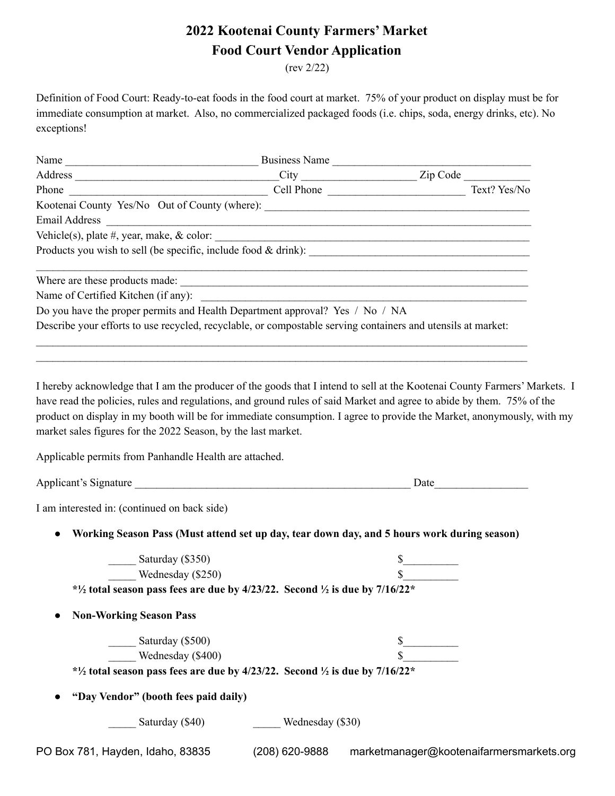## **2022 Kootenai County Farmers' Market Food Court Vendor Application**

(rev 2/22)

Definition of Food Court: Ready-to-eat foods in the food court at market. 75% of your product on display must be for immediate consumption at market. Also, no commercialized packaged foods (i.e. chips, soda, energy drinks, etc). No exceptions!

| Name<br>the control of the control of the control of the control of the control of the control of            | <b>Business Name</b> |  |              |  |
|--------------------------------------------------------------------------------------------------------------|----------------------|--|--------------|--|
|                                                                                                              |                      |  | Zip Code     |  |
| Phone                                                                                                        | Cell Phone           |  | Text? Yes/No |  |
| Kootenai County Yes/No Out of County (where): ___________________________________                            |                      |  |              |  |
| Email Address <b>Email Address</b>                                                                           |                      |  |              |  |
|                                                                                                              |                      |  |              |  |
| Products you wish to sell (be specific, include food & drink):                                               |                      |  |              |  |
|                                                                                                              |                      |  |              |  |
| Name of Certified Kitchen (if any):                                                                          |                      |  |              |  |
| Do you have the proper permits and Health Department approval? Yes / No / NA                                 |                      |  |              |  |
| Describe your efforts to use recycled, recyclable, or compostable serving containers and utensils at market: |                      |  |              |  |

 $\mathcal{L}_\mathcal{L} = \mathcal{L}_\mathcal{L} = \mathcal{L}_\mathcal{L} = \mathcal{L}_\mathcal{L} = \mathcal{L}_\mathcal{L} = \mathcal{L}_\mathcal{L} = \mathcal{L}_\mathcal{L} = \mathcal{L}_\mathcal{L} = \mathcal{L}_\mathcal{L} = \mathcal{L}_\mathcal{L} = \mathcal{L}_\mathcal{L} = \mathcal{L}_\mathcal{L} = \mathcal{L}_\mathcal{L} = \mathcal{L}_\mathcal{L} = \mathcal{L}_\mathcal{L} = \mathcal{L}_\mathcal{L} = \mathcal{L}_\mathcal{L}$ 

I hereby acknowledge that I am the producer of the goods that I intend to sell at the Kootenai County Farmers' Markets. I have read the policies, rules and regulations, and ground rules of said Market and agree to abide by them. 75% of the product on display in my booth will be for immediate consumption. I agree to provide the Market, anonymously, with my market sales figures for the 2022 Season, by the last market.

Applicable permits from Panhandle Health are attached.

Applicant's Signature **Date** 

I am interested in: (continued on back side)

**● Working Season Pass (Must attend set up day, tear down day, and 5 hours work during season)**

| Saturday (\$350)                                                                                   |                  | \$                                       |
|----------------------------------------------------------------------------------------------------|------------------|------------------------------------------|
| Wednesday (\$250)                                                                                  |                  | .n                                       |
| * $\frac{1}{2}$ total season pass fees are due by 4/23/22. Second $\frac{1}{2}$ is due by 7/16/22* |                  |                                          |
| <b>Non-Working Season Pass</b><br>$\bullet$                                                        |                  |                                          |
| Saturday (\$500)                                                                                   |                  | \$                                       |
| Wednesday (\$400)                                                                                  |                  |                                          |
| $*1/2$ total season pass fees are due by 4/23/22. Second $1/2$ is due by 7/16/22 $*$               |                  |                                          |
| "Day Vendor" (booth fees paid daily)                                                               |                  |                                          |
| Saturday (\$40)                                                                                    | Wednesday (\$30) |                                          |
| PO Box 781, Hayden, Idaho, 83835                                                                   | (208) 620-9888   | marketmanager@kootenaifarmersmarkets.org |